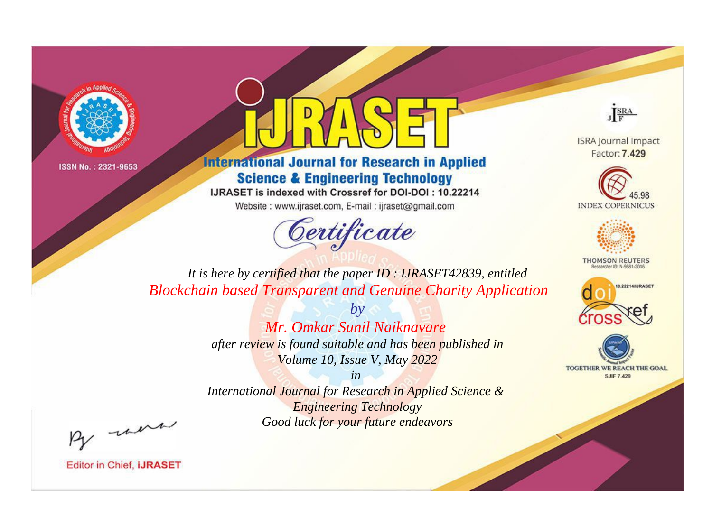



**International Journal for Research in Applied Science & Engineering Technology** 

IJRASET is indexed with Crossref for DOI-DOI: 10.22214

Website: www.ijraset.com, E-mail: ijraset@gmail.com



JERA

**ISRA Journal Impact** Factor: 7.429





**THOMSON REUTERS** 



TOGETHER WE REACH THE GOAL **SJIF 7.429** 

*It is here by certified that the paper ID : IJRASET42839, entitled Blockchain based Transparent and Genuine Charity Application*

> *by Mr. Omkar Sunil Naiknavare after review is found suitable and has been published in Volume 10, Issue V, May 2022*

> > *in*

*International Journal for Research in Applied Science & Engineering Technology Good luck for your future endeavors*

By morn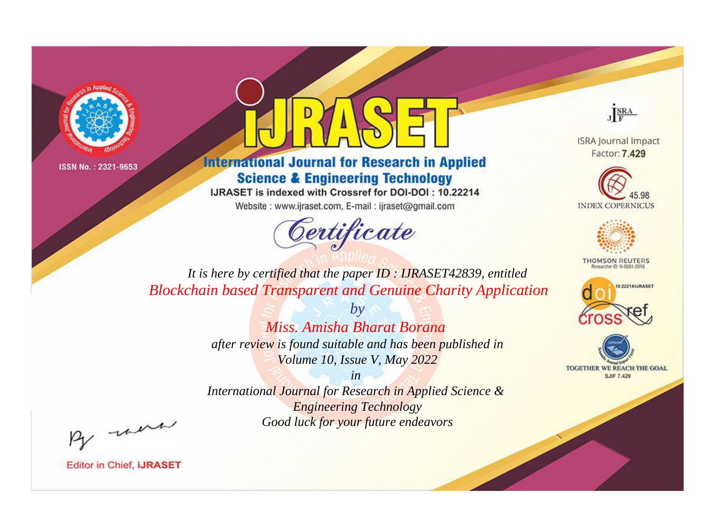



**International Journal for Research in Applied Science & Engineering Technology** 

IJRASET is indexed with Crossref for DOI-DOI: 10.22214

Website: www.ijraset.com, E-mail: ijraset@gmail.com



JERA

**ISRA Journal Impact** Factor: 7.429





**THOMSON REUTERS** 



TOGETHER WE REACH THE GOAL **SJIF 7.429** 

*It is here by certified that the paper ID : IJRASET42839, entitled Blockchain based Transparent and Genuine Charity Application*

> *by Miss. Amisha Bharat Borana after review is found suitable and has been published in Volume 10, Issue V, May 2022*

> > *in*

*International Journal for Research in Applied Science & Engineering Technology Good luck for your future endeavors*

By morn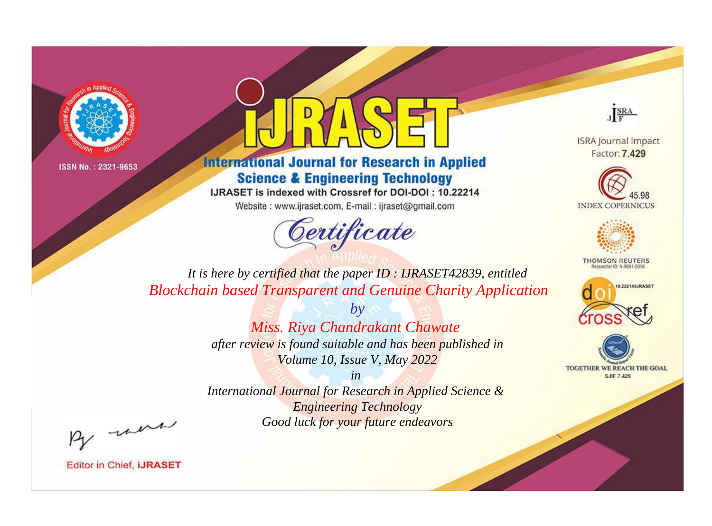



**International Journal for Research in Applied Science & Engineering Technology** 

IJRASET is indexed with Crossref for DOI-DOI: 10.22214

Website: www.ijraset.com, E-mail: ijraset@gmail.com



JERA

**ISRA Journal Impact** Factor: 7.429





**THOMSON REUTERS** 



TOGETHER WE REACH THE GOAL **SJIF 7.429** 

*It is here by certified that the paper ID : IJRASET42839, entitled Blockchain based Transparent and Genuine Charity Application*

> *by Miss. Riya Chandrakant Chawate after review is found suitable and has been published in Volume 10, Issue V, May 2022*

> > *in*

*International Journal for Research in Applied Science & Engineering Technology Good luck for your future endeavors*

By morn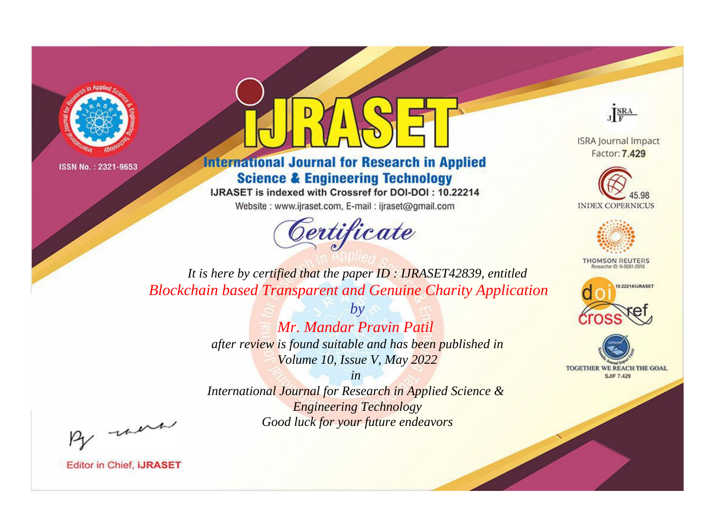



**International Journal for Research in Applied Science & Engineering Technology** 

IJRASET is indexed with Crossref for DOI-DOI: 10.22214

Website: www.ijraset.com, E-mail: ijraset@gmail.com



JERA

**ISRA Journal Impact** Factor: 7.429





**THOMSON REUTERS** 



TOGETHER WE REACH THE GOAL **SJIF 7.429** 

*It is here by certified that the paper ID : IJRASET42839, entitled Blockchain based Transparent and Genuine Charity Application*

> *by Mr. Mandar Pravin Patil after review is found suitable and has been published in Volume 10, Issue V, May 2022*

> > *in*

*International Journal for Research in Applied Science & Engineering Technology Good luck for your future endeavors*

By morn